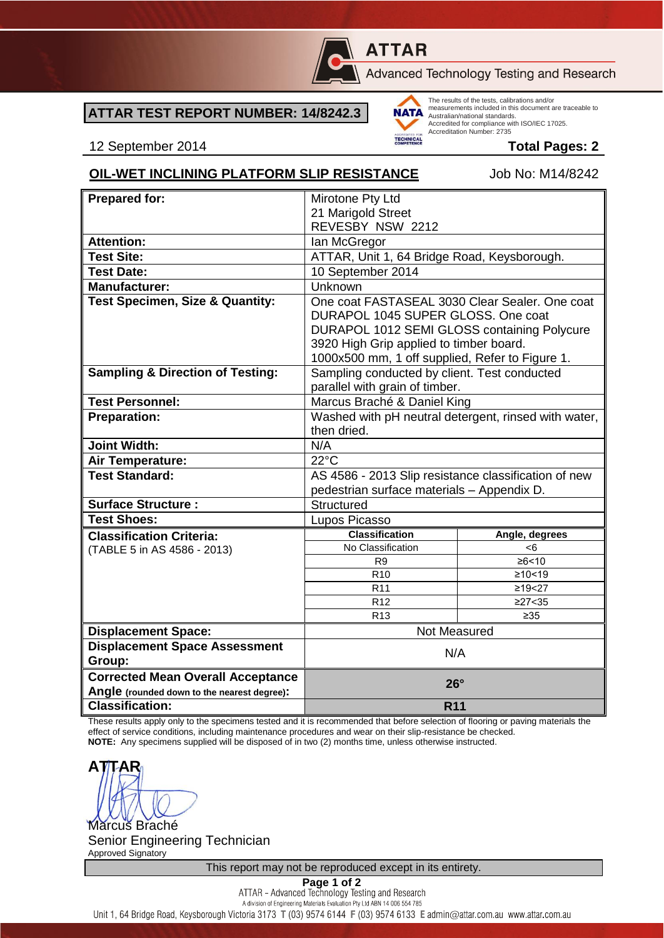

# **ATTAR**

Advanced Technology Testing and Research

## **ATTAR TEST REPORT NUMBER: 14/8242.3**



The results of the tests, calibrations and/or measurements included in this document are traceable to Australian/national standards. Accredited for compliance with ISO/IEC 17025. Accreditation Number: 2735

12 September 2014 **Total Pages: 2**

#### **OIL-WET INCLINING PLATFORM SLIP RESISTANCE** Job No: M14/8242

| <b>Prepared for:</b>                        | Mirotone Pty Ltd                                                                                                                    |                      |  |
|---------------------------------------------|-------------------------------------------------------------------------------------------------------------------------------------|----------------------|--|
|                                             | 21 Marigold Street                                                                                                                  |                      |  |
|                                             | REVESBY NSW 2212                                                                                                                    |                      |  |
| <b>Attention:</b>                           | lan McGregor                                                                                                                        |                      |  |
| <b>Test Site:</b>                           | ATTAR, Unit 1, 64 Bridge Road, Keysborough.                                                                                         |                      |  |
| <b>Test Date:</b>                           | 10 September 2014                                                                                                                   |                      |  |
| <b>Manufacturer:</b>                        | Unknown                                                                                                                             |                      |  |
| <b>Test Specimen, Size &amp; Quantity:</b>  | One coat FASTASEAL 3030 Clear Sealer, One coat<br>DURAPOL 1045 SUPER GLOSS. One coat<br>DURAPOL 1012 SEMI GLOSS containing Polycure |                      |  |
|                                             | 3920 High Grip applied to timber board.                                                                                             |                      |  |
|                                             | 1000x500 mm, 1 off supplied, Refer to Figure 1.                                                                                     |                      |  |
| <b>Sampling &amp; Direction of Testing:</b> | Sampling conducted by client. Test conducted<br>parallel with grain of timber.                                                      |                      |  |
| <b>Test Personnel:</b>                      | Marcus Braché & Daniel King                                                                                                         |                      |  |
| <b>Preparation:</b>                         | Washed with pH neutral detergent, rinsed with water,                                                                                |                      |  |
|                                             | then dried.                                                                                                                         |                      |  |
| <b>Joint Width:</b>                         | N/A                                                                                                                                 |                      |  |
| Air Temperature:                            | $22^{\circ}$ C                                                                                                                      |                      |  |
| <b>Test Standard:</b>                       | AS 4586 - 2013 Slip resistance classification of new                                                                                |                      |  |
|                                             | pedestrian surface materials - Appendix D.                                                                                          |                      |  |
| <b>Surface Structure:</b>                   | Structured                                                                                                                          |                      |  |
| <b>Test Shoes:</b>                          | Lupos Picasso                                                                                                                       |                      |  |
| <b>Classification Criteria:</b>             | <b>Classification</b>                                                                                                               | Angle, degrees       |  |
| (TABLE 5 in AS 4586 - 2013)                 | No Classification                                                                                                                   | <6                   |  |
|                                             | R <sub>9</sub>                                                                                                                      | ≥6 < 10              |  |
|                                             | R <sub>10</sub><br>R <sub>11</sub>                                                                                                  | ≥10 < 19<br>≥19 < 27 |  |
|                                             | R <sub>12</sub>                                                                                                                     | ≥27 < 35             |  |
|                                             | R <sub>13</sub>                                                                                                                     | ≥35                  |  |
| <b>Displacement Space:</b>                  | Not Measured                                                                                                                        |                      |  |
| <b>Displacement Space Assessment</b>        |                                                                                                                                     |                      |  |
| Group:                                      | N/A                                                                                                                                 |                      |  |
| <b>Corrected Mean Overall Acceptance</b>    | $26^\circ$                                                                                                                          |                      |  |
| Angle (rounded down to the nearest degree): |                                                                                                                                     |                      |  |
| <b>Classification:</b>                      |                                                                                                                                     | <b>R11</b>           |  |

These results apply only to the specimens tested and it is recommended that before selection of flooring or paving materials the effect of service conditions, including maintenance procedures and wear on their slip-resistance be checked. **NOTE:** Any specimens supplied will be disposed of in two (2) months time, unless otherwise instructed.

**ATTAR** Marcus Braché

Senior Engineering Technician Approved Signatory

This report may not be reproduced except in its entirety.

**Page 1 of 2**<br>ATTAR - Advanced Technology Testing and Research A division of Engineering Materials Evaluation Pty Ltd ABN 14 006 554 785

Unit 1, 64 Bridge Road, Keysborough Victoria 3173 T (03) 9574 6144 F (03) 9574 6133 E admin@attar.com.au www.attar.com.au